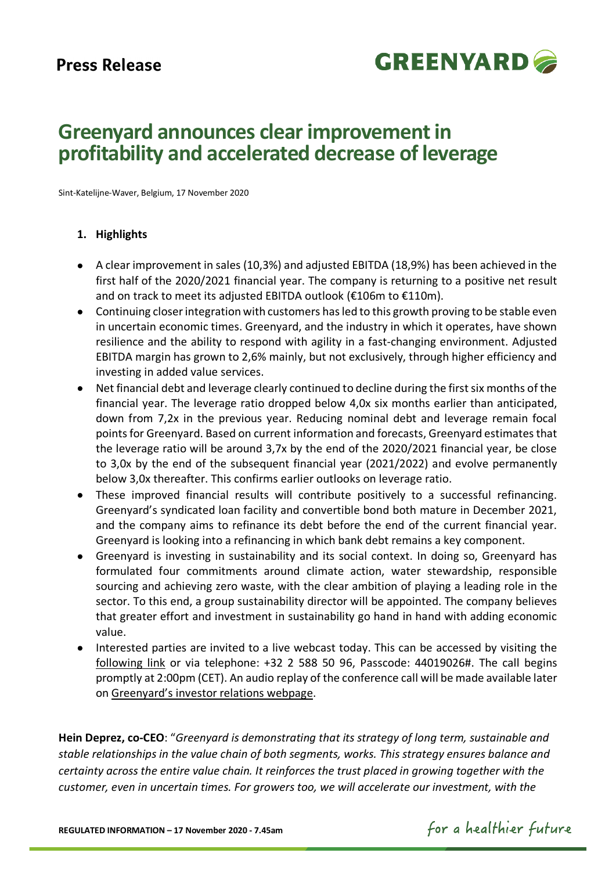# **Press Release**



# **Greenyard announces clear improvement in profitability and accelerated decrease of leverage**

Sint-Katelijne-Waver, Belgium, 17 November 2020

## **1. Highlights**

- A clear improvement in sales (10,3%) and adjusted EBITDA (18,9%) has been achieved in the first half of the 2020/2021 financial year. The company is returning to a positive net result and on track to meet its adjusted EBITDA outlook (€106m to €110m).
- Continuing closerintegration with customers has led to this growth proving to be stable even in uncertain economic times. Greenyard, and the industry in which it operates, have shown resilience and the ability to respond with agility in a fast-changing environment. Adjusted EBITDA margin has grown to 2,6% mainly, but not exclusively, through higher efficiency and investing in added value services.
- Net financial debt and leverage clearly continued to decline during the first six months of the financial year. The leverage ratio dropped below 4,0x six months earlier than anticipated, down from 7,2x in the previous year. Reducing nominal debt and leverage remain focal pointsfor Greenyard. Based on current information and forecasts, Greenyard estimates that the leverage ratio will be around 3,7x by the end of the 2020/2021 financial year, be close to 3,0x by the end of the subsequent financial year (2021/2022) and evolve permanently below 3,0x thereafter. This confirms earlier outlooks on leverage ratio.
- These improved financial results will contribute positively to a successful refinancing. Greenyard's syndicated loan facility and convertible bond both mature in December 2021, and the company aims to refinance its debt before the end of the current financial year. Greenyard is looking into a refinancing in which bank debt remains a key component.
- Greenyard is investing in sustainability and its social context. In doing so, Greenyard has formulated four commitments around climate action, water stewardship, responsible sourcing and achieving zero waste, with the clear ambition of playing a leading role in the sector. To this end, a group sustainability director will be appointed. The company believes that greater effort and investment in sustainability go hand in hand with adding economic value.
- Interested parties are invited to a live webcast today. This can be accessed by visiting the [following link](https://globalmeet.webcasts.com/starthere.jsp?ei=1403407&tp_key=65380a721c) or via telephone: +32 2 588 50 96, Passcode: 44019026#. The call begins promptly at 2:00pm (CET). An audio replay of the conference call will be made available later on [Greenyard's investor](https://www.greenyard.group/investor-relations/presentations-IR) relations webpage.

**Hein Deprez, co-CEO**: "*Greenyard is demonstrating that its strategy of long term, sustainable and stable relationships in the value chain of both segments, works. This strategy ensures balance and certainty across the entire value chain. It reinforces the trust placed in growing together with the customer, even in uncertain times. For growers too, we will accelerate our investment, with the* 

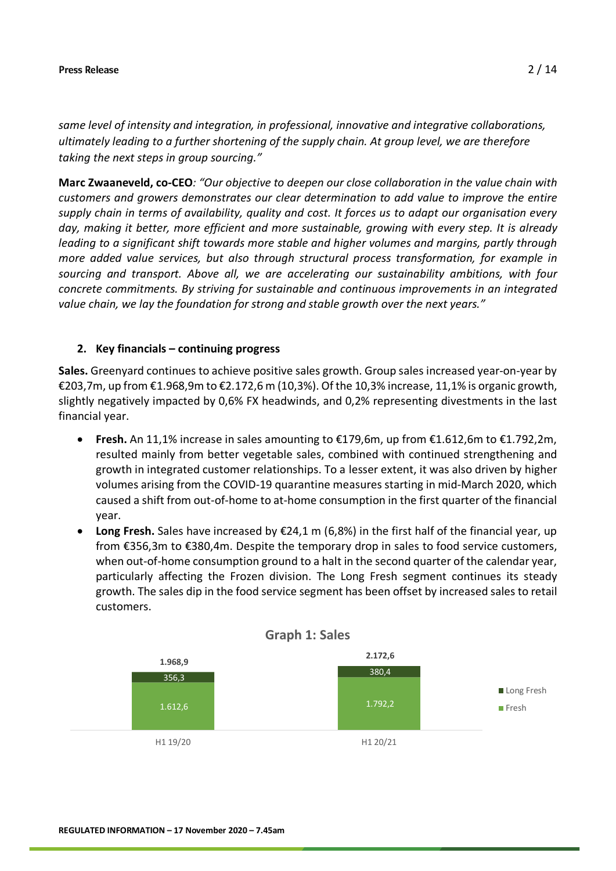*same level of intensity and integration, in professional, innovative and integrative collaborations, ultimately leading to a further shortening of the supply chain. At group level, we are therefore taking the next steps in group sourcing."* 

**Marc Zwaaneveld, co-CEO***: "Our objective to deepen our close collaboration in the value chain with customers and growers demonstrates our clear determination to add value to improve the entire supply chain in terms of availability, quality and cost. It forces us to adapt our organisation every day, making it better, more efficient and more sustainable, growing with every step. It is already leading to a significant shift towards more stable and higher volumes and margins, partly through more added value services, but also through structural process transformation, for example in sourcing and transport. Above all, we are accelerating our sustainability ambitions, with four concrete commitments. By striving for sustainable and continuous improvements in an integrated value chain, we lay the foundation for strong and stable growth over the next years."*

## **2. Key financials – continuing progress**

**Sales.** Greenyard continues to achieve positive sales growth. Group sales increased year-on-year by €203,7m, up from €1.968,9m to €2.172,6 m (10,3%). Of the 10,3% increase, 11,1% is organic growth, slightly negatively impacted by 0,6% FX headwinds, and 0,2% representing divestments in the last financial year.

- **Fresh.** An 11,1% increase in sales amounting to €179,6m, up from €1.612,6m to €1.792,2m, resulted mainly from better vegetable sales, combined with continued strengthening and growth in integrated customer relationships. To a lesser extent, it was also driven by higher volumes arising from the COVID-19 quarantine measures starting in mid-March 2020, which caused a shift from out-of-home to at-home consumption in the first quarter of the financial year.
- **Long Fresh.** Sales have increased by €24,1 m (6,8%) in the first half of the financial year, up from €356,3m to €380,4m. Despite the temporary drop in sales to food service customers, when out-of-home consumption ground to a halt in the second quarter of the calendar year, particularly affecting the Frozen division. The Long Fresh segment continues its steady growth. The sales dip in the food service segment has been offset by increased sales to retail customers.

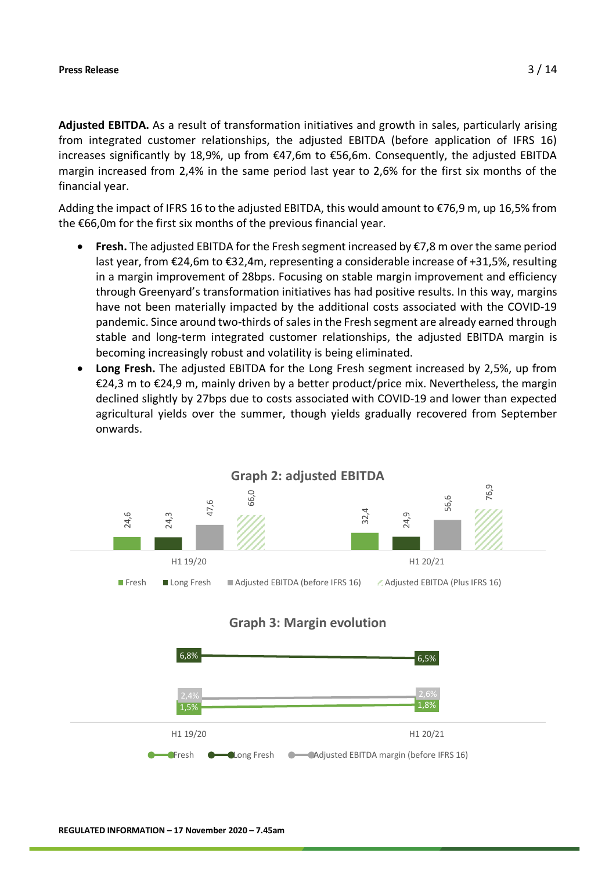**Adjusted EBITDA.** As a result of transformation initiatives and growth in sales, particularly arising from integrated customer relationships, the adjusted EBITDA (before application of IFRS 16) increases significantly by 18,9%, up from €47,6m to €56,6m. Consequently, the adjusted EBITDA margin increased from 2,4% in the same period last year to 2,6% for the first six months of the financial year.

Adding the impact of IFRS 16 to the adjusted EBITDA, this would amount to €76,9 m, up 16,5% from the €66,0m for the first six months of the previous financial year.

- **Fresh.** The adjusted EBITDA for the Fresh segment increased by  $\epsilon$ 7,8 m over the same period last year, from €24,6m to €32,4m, representing a considerable increase of +31,5%, resulting in a margin improvement of 28bps. Focusing on stable margin improvement and efficiency through Greenyard's transformation initiatives has had positive results. In this way, margins have not been materially impacted by the additional costs associated with the COVID-19 pandemic. Since around two-thirds of sales in the Fresh segment are already earned through stable and long-term integrated customer relationships, the adjusted EBITDA margin is becoming increasingly robust and volatility is being eliminated.
- **Long Fresh.** The adjusted EBITDA for the Long Fresh segment increased by 2,5%, up from €24,3 m to €24,9 m, mainly driven by a better product/price mix. Nevertheless, the margin declined slightly by 27bps due to costs associated with COVID-19 and lower than expected agricultural yields over the summer, though yields gradually recovered from September onwards.

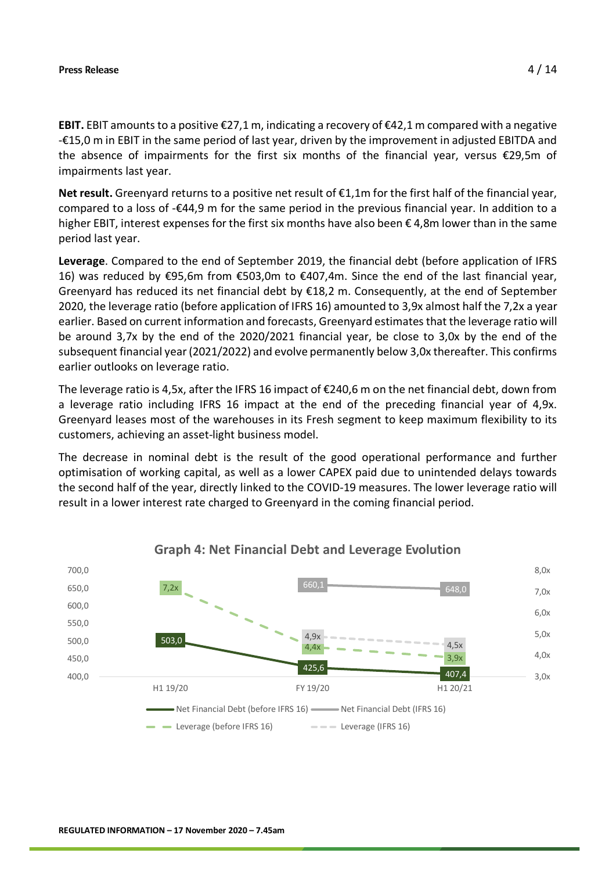**EBIT.** EBIT amounts to a positive €27,1 m, indicating a recovery of €42,1 m compared with a negative -€15,0 m in EBIT in the same period of last year, driven by the improvement in adjusted EBITDA and the absence of impairments for the first six months of the financial year, versus  $\epsilon$ 29.5m of impairments last year.

**Net result.** Greenyard returns to a positive net result of €1,1m for the first half of the financial year, compared to a loss of -€44,9 m for the same period in the previous financial year. In addition to a higher EBIT, interest expenses for the first six months have also been  $\epsilon$  4,8m lower than in the same period last year.

**Leverage**. Compared to the end of September 2019, the financial debt (before application of IFRS 16) was reduced by €95,6m from €503,0m to €407,4m. Since the end of the last financial year, Greenyard has reduced its net financial debt by  $£18,2$  m. Consequently, at the end of September 2020, the leverage ratio (before application of IFRS 16) amounted to 3,9x almost half the 7,2x a year earlier. Based on current information and forecasts, Greenyard estimates that the leverage ratio will be around 3,7x by the end of the 2020/2021 financial year, be close to 3,0x by the end of the subsequent financial year (2021/2022) and evolve permanently below 3,0x thereafter. This confirms earlier outlooks on leverage ratio.

The leverage ratio is 4,5x, after the IFRS 16 impact of €240,6 m on the net financial debt, down from a leverage ratio including IFRS 16 impact at the end of the preceding financial year of 4,9x. Greenyard leases most of the warehouses in its Fresh segment to keep maximum flexibility to its customers, achieving an asset-light business model.

The decrease in nominal debt is the result of the good operational performance and further optimisation of working capital, as well as a lower CAPEX paid due to unintended delays towards the second half of the year, directly linked to the COVID-19 measures. The lower leverage ratio will result in a lower interest rate charged to Greenyard in the coming financial period.



## **Graph 4: Net Financial Debt and Leverage Evolution**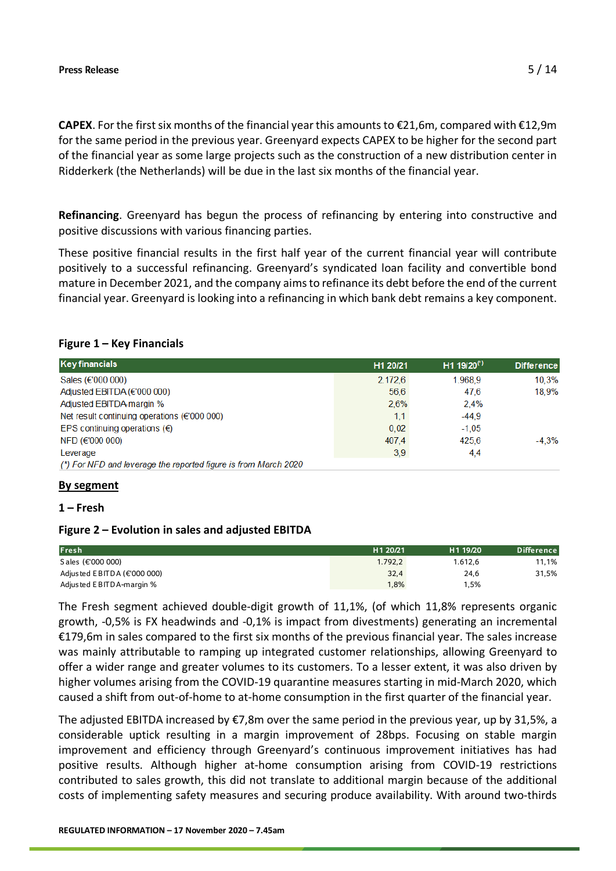**CAPEX**. For the first six months of the financial yearthis amounts to €21,6m, compared with €12,9m for the same period in the previous year. Greenyard expects CAPEX to be higher for the second part of the financial year as some large projects such as the construction of a new distribution center in Ridderkerk (the Netherlands) will be due in the last six months of the financial year.

**Refinancing**. Greenyard has begun the process of refinancing by entering into constructive and positive discussions with various financing parties.

These positive financial results in the first half year of the current financial year will contribute positively to a successful refinancing. Greenyard's syndicated loan facility and convertible bond mature in December 2021, and the company aims to refinance its debt before the end of the current financial year. Greenyard is looking into a refinancing in which bank debt remains a key component.

## **Figure 1 – Key Financials**

| <b>Key financials</b>                                           | H1 20/21 | H <sub>1</sub> 19/20 <sup>(*)</sup> | <b>Difference</b> |
|-----------------------------------------------------------------|----------|-------------------------------------|-------------------|
| Sales (€'000 000)                                               | 2.172.6  | 1.968.9                             | 10.3%             |
| Adjusted EBITDA (€'000 000)                                     | 56.6     | 47.6                                | 18.9%             |
| Adjusted EBITDA margin %                                        | 2.6%     | 2.4%                                |                   |
| Net result continuing operations ( $\epsilon$ '000 000)         | 1,1      | $-44.9$                             |                   |
| EPS continuing operations $(\epsilon)$                          | 0.02     | $-1.05$                             |                   |
| NFD (€'000 000)                                                 | 407.4    | 425,6                               | $-4.3%$           |
| Leverage                                                        | 3,9      | 4,4                                 |                   |
| (*) For NFD and leverage the reported figure is from March 2020 |          |                                     |                   |

## **By segment**

### **1 – Fresh**

## **Figure 2 – Evolution in sales and adjusted EBITDA**

| Fresh                             | H <sub>1</sub> 20/21 | H <sub>1</sub> 19/20 | <b>Difference</b> |
|-----------------------------------|----------------------|----------------------|-------------------|
| S ales (€'000 000)                | 1.792.2              | 1.612.6              | 11,1%             |
| Adjusted EBITDA ( $\in$ '000 000) | 32.4                 | 24,6                 | 31,5%             |
| Adjusted EBITDA-margin %          | 1,8%                 | 1,5%                 |                   |

The Fresh segment achieved double-digit growth of 11,1%, (of which 11,8% represents organic growth, -0,5% is FX headwinds and -0,1% is impact from divestments) generating an incremental €179,6m in sales compared to the first six months of the previous financial year. The sales increase was mainly attributable to ramping up integrated customer relationships, allowing Greenyard to offer a wider range and greater volumes to its customers. To a lesser extent, it was also driven by higher volumes arising from the COVID-19 quarantine measures starting in mid-March 2020, which caused a shift from out-of-home to at-home consumption in the first quarter of the financial year.

The adjusted EBITDA increased by €7,8m over the same period in the previous year, up by 31,5%, a considerable uptick resulting in a margin improvement of 28bps. Focusing on stable margin improvement and efficiency through Greenyard's continuous improvement initiatives has had positive results. Although higher at-home consumption arising from COVID-19 restrictions contributed to sales growth, this did not translate to additional margin because of the additional costs of implementing safety measures and securing produce availability. With around two-thirds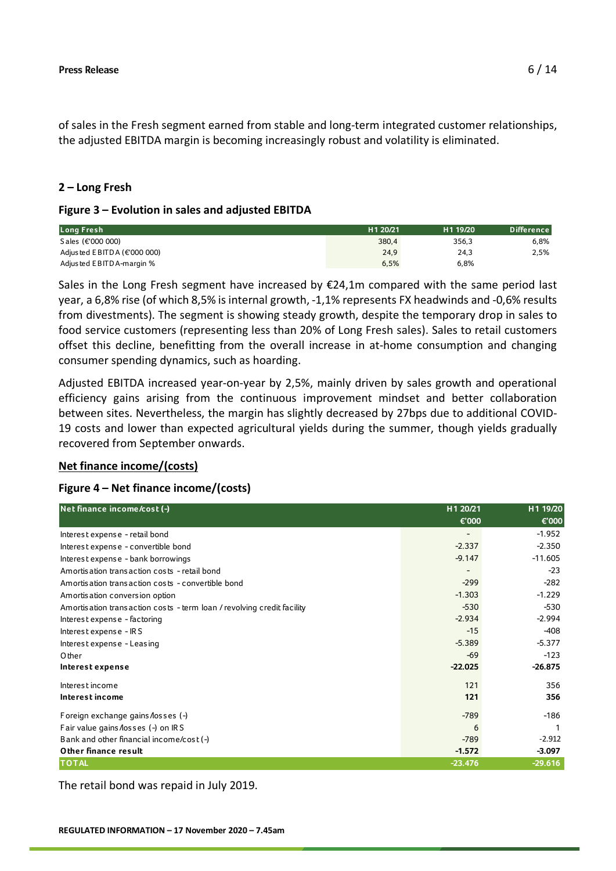of sales in the Fresh segment earned from stable and long-term integrated customer relationships, the adjusted EBITDA margin is becoming increasingly robust and volatility is eliminated.

## **2 – Long Fresh**

## **Figure 3 – Evolution in sales and adjusted EBITDA**

| Long Fresh                     | H <sub>1</sub> 20/21 | H <sub>1</sub> 19/20 | <b>Difference</b> |
|--------------------------------|----------------------|----------------------|-------------------|
| Sales (€'000 000)              | 380.4                | 356.3                | 6.8%              |
| Adjusted EBITDA ( $€'000000$ ) | 24.9                 | 24,3                 | 2,5%              |
| Adjusted EBITDA-margin %       | 6,5%                 | 6,8%                 |                   |

Sales in the Long Fresh segment have increased by  $E24,1m$  compared with the same period last year, a 6,8% rise (of which 8,5% is internal growth, -1,1% represents FX headwinds and -0,6% results from divestments). The segment is showing steady growth, despite the temporary drop in sales to food service customers (representing less than 20% of Long Fresh sales). Sales to retail customers offset this decline, benefitting from the overall increase in at-home consumption and changing consumer spending dynamics, such as hoarding.

Adjusted EBITDA increased year-on-year by 2,5%, mainly driven by sales growth and operational efficiency gains arising from the continuous improvement mindset and better collaboration between sites. Nevertheless, the margin has slightly decreased by 27bps due to additional COVID-19 costs and lower than expected agricultural yields during the summer, though yields gradually recovered from September onwards.

## **Net finance income/(costs)**

## **Figure 4 – Net finance income/(costs)**

| Net finance income/cost (-)                                            | H1 20/21  | H1 19/20  |
|------------------------------------------------------------------------|-----------|-----------|
|                                                                        | €'000     | €'000     |
| Interest expense - retail bond                                         |           | $-1.952$  |
| Interest expense - convertible bond                                    | $-2.337$  | $-2.350$  |
| Interest expense - bank borrowings                                     | $-9.147$  | $-11.605$ |
| Amortis ation trans action costs - retail bond                         |           | $-23$     |
| Amortis ation trans action costs - convertible bond                    | $-299$    | $-282$    |
| Amortis ation conversion option                                        | $-1.303$  | $-1.229$  |
| Amortisation transaction costs - term loan / revolving credit facility | $-530$    | $-530$    |
| Interest expense - factoring                                           | $-2.934$  | $-2.994$  |
| Interest expense - IRS                                                 | $-15$     | $-408$    |
| Interest expense - Leasing                                             | $-5.389$  | $-5.377$  |
| Other                                                                  | $-69$     | $-123$    |
| Interest expense                                                       | $-22.025$ | $-26.875$ |
| Interest income                                                        | 121       | 356       |
| Interest income                                                        | 121       | 356       |
| Foreign exchange gains losses (-)                                      | $-789$    | $-186$    |
| Fair value gains losses (-) on IRS                                     | 6         |           |
| Bank and other financial income/cost( $-$ )                            | $-789$    | $-2.912$  |
| Other finance result                                                   | $-1.572$  | $-3.097$  |
| <b>TOTAL</b>                                                           | $-23.476$ | $-29.616$ |

The retail bond was repaid in July 2019.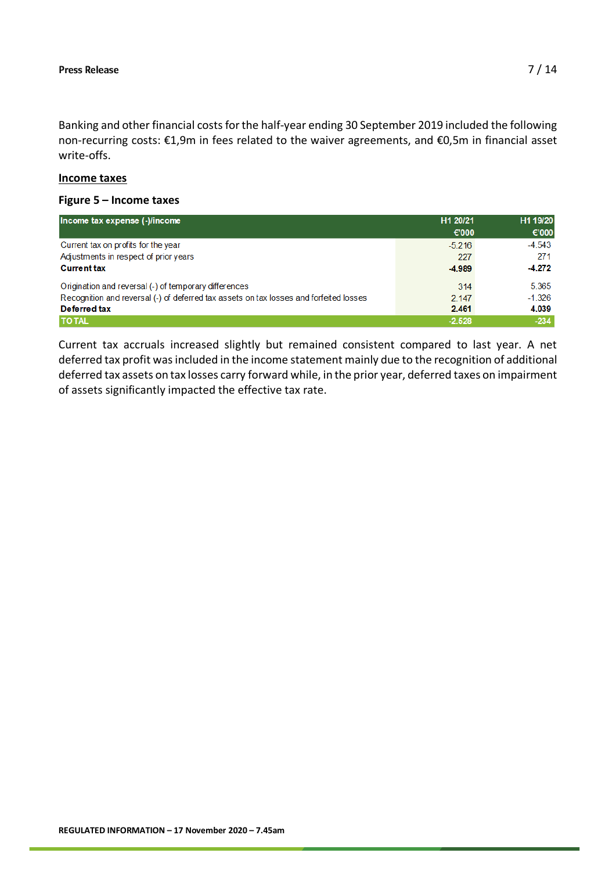Banking and other financial costs for the half-year ending 30 September 2019 included the following non-recurring costs: €1,9m in fees related to the waiver agreements, and €0,5m in financial asset write-offs.

## **Income taxes**

## **Figure 5 – Income taxes**

| Income tax expense (-)/income                                                          | H1 20/21 | H1 19/20 |
|----------------------------------------------------------------------------------------|----------|----------|
|                                                                                        | € $000$  | €'000    |
| Current tax on profits for the year                                                    | $-5.216$ | $-4.543$ |
| Adjustments in respect of prior years                                                  | 227      | 271      |
| <b>Current tax</b>                                                                     | $-4.989$ | $-4.272$ |
| Origination and reversal (-) of temporary differences                                  | 314      | 5.365    |
| Recognition and reversal (-) of deferred tax assets on tax losses and forfeited losses | 2 1 4 7  | $-1.326$ |
| Deferred tax                                                                           | 2.461    | 4.039    |
| <b>TO TAL</b>                                                                          | $-2.528$ | $-234$   |

Current tax accruals increased slightly but remained consistent compared to last year. A net deferred tax profit was included in the income statement mainly due to the recognition of additional deferred tax assets on tax losses carry forward while, in the prior year, deferred taxes on impairment of assets significantly impacted the effective tax rate.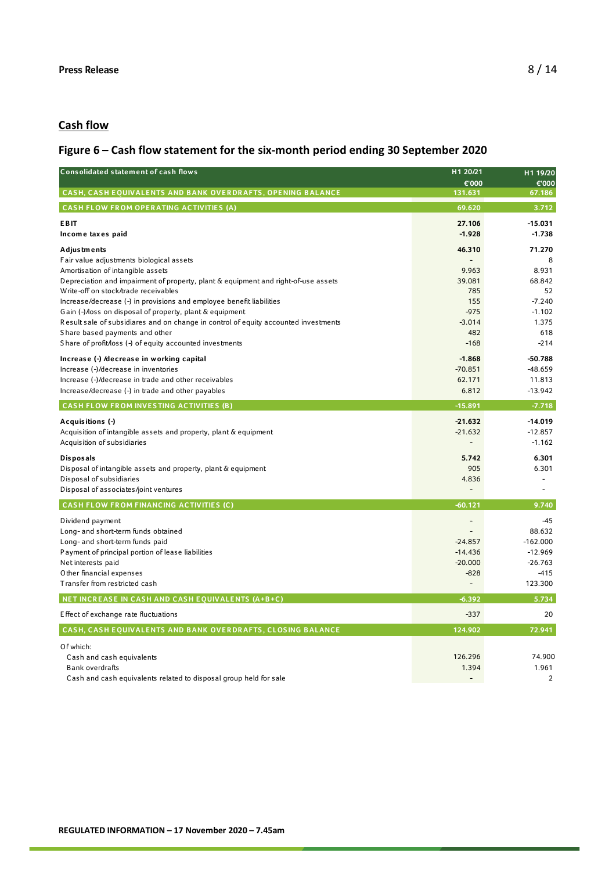## **Cash flow**

## **Figure 6 – Cash flow statement for the six-month period ending 30 September 2020**

| <b>Consolidated statement of cash flows</b>                                                                                                            | H1 20/21<br>€'000 | H1 19/20<br>€'000    |
|--------------------------------------------------------------------------------------------------------------------------------------------------------|-------------------|----------------------|
| <b>CASH, CASH EOUIVALENTS AND BANK OVERDRAFTS, OPENING BALANCE</b>                                                                                     | 131.631           | 67.186               |
| <b>CASH FLOW FROM OPERATING ACTIVITIES (A)</b>                                                                                                         | 69.620            | 3.712                |
| <b>EBIT</b>                                                                                                                                            | 27.106            | $-15.031$            |
| Income taxes paid                                                                                                                                      | $-1.928$          | $-1.738$             |
| <b>Adjustments</b>                                                                                                                                     | 46.310            | 71.270               |
| Fair value adjustments biological assets                                                                                                               |                   | 8                    |
| Amortisation of intangible assets                                                                                                                      | 9.963             | 8.931                |
| Depreciation and impairment of property, plant & equipment and right-of-use assets                                                                     | 39.081            | 68.842               |
| Write-off on stock/trade receivables                                                                                                                   | 785               | 52                   |
| Increase/decrease (-) in provisions and employee benefit liabilities                                                                                   | 155<br>$-975$     | $-7.240$<br>$-1.102$ |
| Gain (-) <i>Aoss</i> on disposal of property, plant & equipment<br>Result sale of subsidiares and on change in control of equity accounted investments | $-3.014$          | 1.375                |
| Share based payments and other                                                                                                                         | 482               | 618                  |
| Share of profit/loss (-) of equity accounted investments                                                                                               | $-168$            | $-214$               |
| Increase (-) /decrease in working capital                                                                                                              | $-1.868$          | $-50.788$            |
| Increase (-)/decrease in inventories                                                                                                                   | $-70.851$         | $-48.659$            |
| Increase (-)/decrease in trade and other receivables                                                                                                   | 62.171            | 11.813               |
| Increase/decrease (-) in trade and other payables                                                                                                      | 6.812             | $-13.942$            |
| <b>CASH FLOW FROM INVESTING ACTIVITIES (B)</b>                                                                                                         | $-15.891$         | $-7.718$             |
| Acquisitions (-)                                                                                                                                       | $-21.632$         | $-14.019$            |
| Acquisition of intangible assets and property, plant & equipment                                                                                       | $-21.632$         | $-12.857$            |
| Acquisition of subsidiaries                                                                                                                            |                   | $-1.162$             |
| <b>Disposals</b>                                                                                                                                       | 5.742             | 6.301                |
| Disposal of intangible assets and property, plant & equipment                                                                                          | 905               | 6.301                |
| Disposal of subsidiaries                                                                                                                               | 4.836             | $\blacksquare$       |
| Disposal of associates/joint ventures                                                                                                                  |                   |                      |
| <b>CASH FLOW FROM FINANCING ACTIVITIES (C)</b>                                                                                                         | $-60.121$         | 9.740                |
| Dividend payment                                                                                                                                       |                   | $-45$                |
| Long- and short-term funds obtained                                                                                                                    |                   | 88.632               |
| Long- and short-term funds paid                                                                                                                        | $-24.857$         | $-162.000$           |
| Payment of principal portion of lease liabilities                                                                                                      | $-14.436$         | $-12.969$            |
| Net interests paid                                                                                                                                     | $-20.000$         | $-26.763$            |
| Other financial expenses                                                                                                                               | $-828$            | $-415$               |
| Transfer from restricted cash                                                                                                                          |                   | 123.300              |
| NET INCREASE IN CASH AND CASH EOUIVALENTS (A+B+C)                                                                                                      | $-6.392$          | 5.734                |
| Effect of exchange rate fluctuations                                                                                                                   | $-337$            | 20                   |
| CASH, CASH EQUIVALENTS AND BANK OVERDRAFTS, CLOSING BALANCE                                                                                            | 124.902           | 72.941               |
| Of which:                                                                                                                                              |                   |                      |
| Cash and cash equivalents                                                                                                                              | 126.296           | 74.900               |
| <b>Bank overdrafts</b>                                                                                                                                 | 1.394             | 1.961                |
| Cash and cash equivalents related to disposal group held for sale                                                                                      |                   | $\overline{2}$       |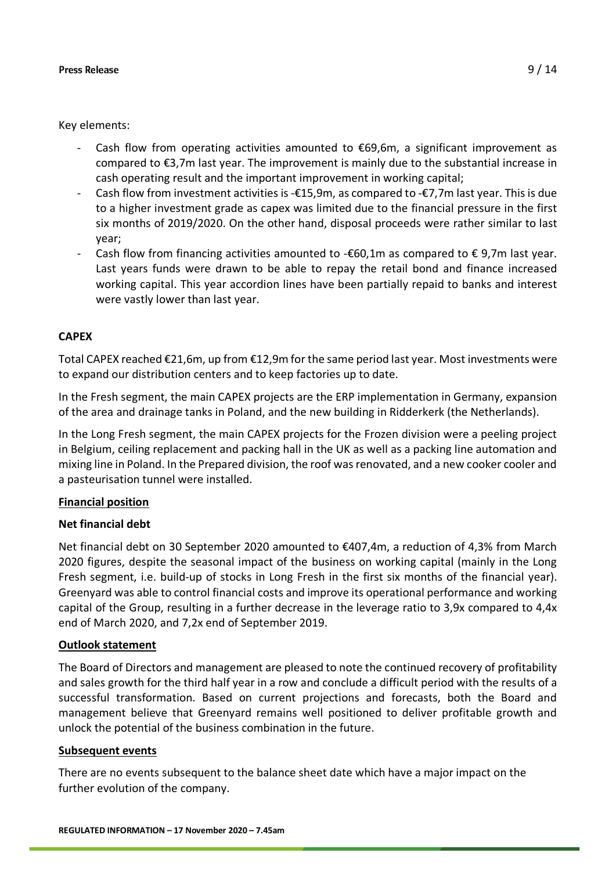Key elements:

- Cash flow from operating activities amounted to  $\epsilon$ 69,6m, a significant improvement as compared to €3,7m last year. The improvement is mainly due to the substantial increase in cash operating result and the important improvement in working capital;
- Cash flow from investment activities is -€15,9m, as compared to -€7,7m last year. This is due to a higher investment grade as capex was limited due to the financial pressure in the first six months of 2019/2020. On the other hand, disposal proceeds were rather similar to last year;
- Cash flow from financing activities amounted to - $\epsilon$ 60,1m as compared to  $\epsilon$  9,7m last year. Last years funds were drawn to be able to repay the retail bond and finance increased working capital. This year accordion lines have been partially repaid to banks and interest were vastly lower than last year.

## **CAPEX**

Total CAPEX reached €21,6m, up from €12,9m for the same period last year. Most investments were to expand our distribution centers and to keep factories up to date.

In the Fresh segment, the main CAPEX projects are the ERP implementation in Germany, expansion of the area and drainage tanks in Poland, and the new building in Ridderkerk (the Netherlands).

In the Long Fresh segment, the main CAPEX projects for the Frozen division were a peeling project in Belgium, ceiling replacement and packing hall in the UK as well as a packing line automation and mixing line in Poland. In the Prepared division, the roof wasrenovated, and a new cooker cooler and a pasteurisation tunnel were installed.

## **Financial position**

## **Net financial debt**

Net financial debt on 30 September 2020 amounted to €407,4m, a reduction of 4,3% from March 2020 figures, despite the seasonal impact of the business on working capital (mainly in the Long Fresh segment, i.e. build-up of stocks in Long Fresh in the first six months of the financial year). Greenyard was able to control financial costs and improve its operational performance and working capital of the Group, resulting in a further decrease in the leverage ratio to 3,9x compared to 4,4x end of March 2020, and 7,2x end of September 2019.

## **Outlook statement**

The Board of Directors and management are pleased to note the continued recovery of profitability and sales growth for the third half year in a row and conclude a difficult period with the results of a successful transformation. Based on current projections and forecasts, both the Board and management believe that Greenyard remains well positioned to deliver profitable growth and unlock the potential of the business combination in the future.

## **Subsequent events**

There are no events subsequent to the balance sheet date which have a major impact on the further evolution of the company.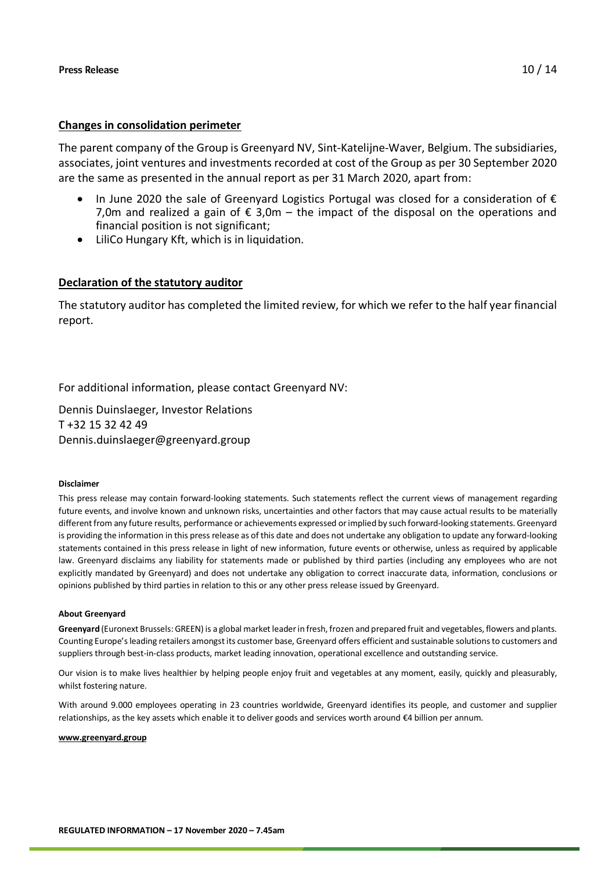## **Changes in consolidation perimeter**

The parent company of the Group is Greenyard NV, Sint-Katelijne-Waver, Belgium. The subsidiaries, associates, joint ventures and investments recorded at cost of the Group as per 30 September 2020 are the same as presented in the annual report as per 31 March 2020, apart from:

- In June 2020 the sale of Greenyard Logistics Portugal was closed for a consideration of  $\epsilon$ 7,0m and realized a gain of  $\epsilon$  3,0m – the impact of the disposal on the operations and financial position is not significant;
- LiliCo Hungary Kft, which is in liquidation.

## **Declaration of the statutory auditor**

The statutory auditor has completed the limited review, for which we refer to the half year financial report.

For additional information, please contact Greenyard NV:

Dennis Duinslaeger, Investor Relations T +32 15 32 42 49 Dennis.duinslaeger@greenyard.group

### **Disclaimer**

This press release may contain forward-looking statements. Such statements reflect the current views of management regarding future events, and involve known and unknown risks, uncertainties and other factors that may cause actual results to be materially different from any future results, performance or achievements expressed or implied by such forward-looking statements. Greenyard is providing the information in this press release as of this date and does not undertake any obligation to update any forward-looking statements contained in this press release in light of new information, future events or otherwise, unless as required by applicable law. Greenyard disclaims any liability for statements made or published by third parties (including any employees who are not explicitly mandated by Greenyard) and does not undertake any obligation to correct inaccurate data, information, conclusions or opinions published by third parties in relation to this or any other press release issued by Greenyard.

### **About Greenyard**

**Greenyard** (Euronext Brussels: GREEN) is a global market leader in fresh, frozen and prepared fruit and vegetables, flowers and plants. Counting Europe's leading retailers amongst its customer base, Greenyard offers efficient and sustainable solutions to customers and suppliers through best-in-class products, market leading innovation, operational excellence and outstanding service.

Our vision is to make lives healthier by helping people enjoy fruit and vegetables at any moment, easily, quickly and pleasurably, whilst fostering nature.

With around 9.000 employees operating in 23 countries worldwide, Greenyard identifies its people, and customer and supplier relationships, as the key assets which enable it to deliver goods and services worth around €4 billion per annum.

**[www.greenyard.group](http://www.greenyard.group/)**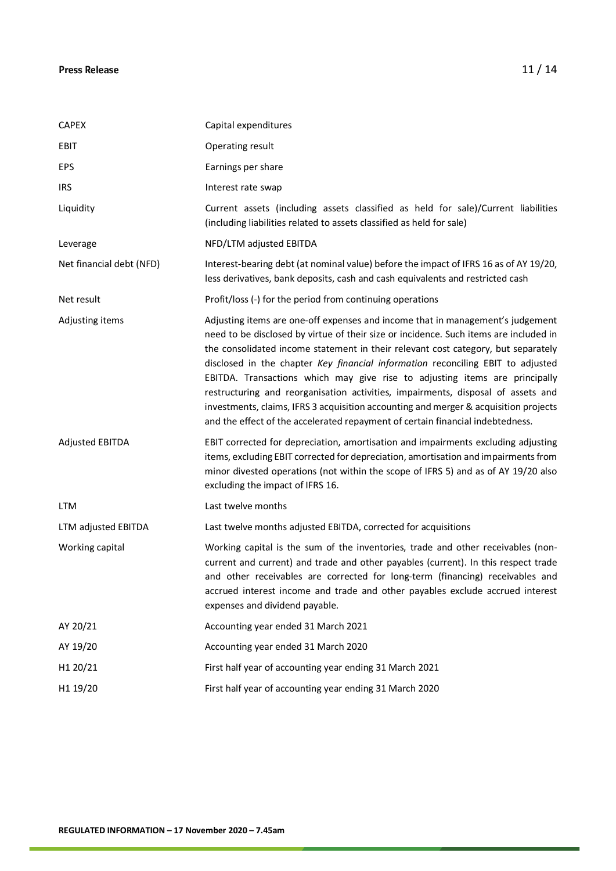| <b>CAPEX</b>             | Capital expenditures                                                                                                                                                                                                                                                                                                                                                                                                                                                                                                                                                                                                                                                                         |
|--------------------------|----------------------------------------------------------------------------------------------------------------------------------------------------------------------------------------------------------------------------------------------------------------------------------------------------------------------------------------------------------------------------------------------------------------------------------------------------------------------------------------------------------------------------------------------------------------------------------------------------------------------------------------------------------------------------------------------|
| <b>EBIT</b>              | Operating result                                                                                                                                                                                                                                                                                                                                                                                                                                                                                                                                                                                                                                                                             |
| <b>EPS</b>               | Earnings per share                                                                                                                                                                                                                                                                                                                                                                                                                                                                                                                                                                                                                                                                           |
| <b>IRS</b>               | Interest rate swap                                                                                                                                                                                                                                                                                                                                                                                                                                                                                                                                                                                                                                                                           |
| Liquidity                | Current assets (including assets classified as held for sale)/Current liabilities<br>(including liabilities related to assets classified as held for sale)                                                                                                                                                                                                                                                                                                                                                                                                                                                                                                                                   |
| Leverage                 | NFD/LTM adjusted EBITDA                                                                                                                                                                                                                                                                                                                                                                                                                                                                                                                                                                                                                                                                      |
| Net financial debt (NFD) | Interest-bearing debt (at nominal value) before the impact of IFRS 16 as of AY 19/20,<br>less derivatives, bank deposits, cash and cash equivalents and restricted cash                                                                                                                                                                                                                                                                                                                                                                                                                                                                                                                      |
| Net result               | Profit/loss (-) for the period from continuing operations                                                                                                                                                                                                                                                                                                                                                                                                                                                                                                                                                                                                                                    |
| Adjusting items          | Adjusting items are one-off expenses and income that in management's judgement<br>need to be disclosed by virtue of their size or incidence. Such items are included in<br>the consolidated income statement in their relevant cost category, but separately<br>disclosed in the chapter Key financial information reconciling EBIT to adjusted<br>EBITDA. Transactions which may give rise to adjusting items are principally<br>restructuring and reorganisation activities, impairments, disposal of assets and<br>investments, claims, IFRS 3 acquisition accounting and merger & acquisition projects<br>and the effect of the accelerated repayment of certain financial indebtedness. |
| <b>Adjusted EBITDA</b>   | EBIT corrected for depreciation, amortisation and impairments excluding adjusting<br>items, excluding EBIT corrected for depreciation, amortisation and impairments from<br>minor divested operations (not within the scope of IFRS 5) and as of AY 19/20 also<br>excluding the impact of IFRS 16.                                                                                                                                                                                                                                                                                                                                                                                           |
| <b>LTM</b>               | Last twelve months                                                                                                                                                                                                                                                                                                                                                                                                                                                                                                                                                                                                                                                                           |
| LTM adjusted EBITDA      | Last twelve months adjusted EBITDA, corrected for acquisitions                                                                                                                                                                                                                                                                                                                                                                                                                                                                                                                                                                                                                               |
| Working capital          | Working capital is the sum of the inventories, trade and other receivables (non-<br>current and current) and trade and other payables (current). In this respect trade<br>and other receivables are corrected for long-term (financing) receivables and<br>accrued interest income and trade and other payables exclude accrued interest<br>expenses and dividend payable.                                                                                                                                                                                                                                                                                                                   |
| AY 20/21                 | Accounting year ended 31 March 2021                                                                                                                                                                                                                                                                                                                                                                                                                                                                                                                                                                                                                                                          |
| AY 19/20                 | Accounting year ended 31 March 2020                                                                                                                                                                                                                                                                                                                                                                                                                                                                                                                                                                                                                                                          |
| H1 20/21                 | First half year of accounting year ending 31 March 2021                                                                                                                                                                                                                                                                                                                                                                                                                                                                                                                                                                                                                                      |
| H1 19/20                 | First half year of accounting year ending 31 March 2020                                                                                                                                                                                                                                                                                                                                                                                                                                                                                                                                                                                                                                      |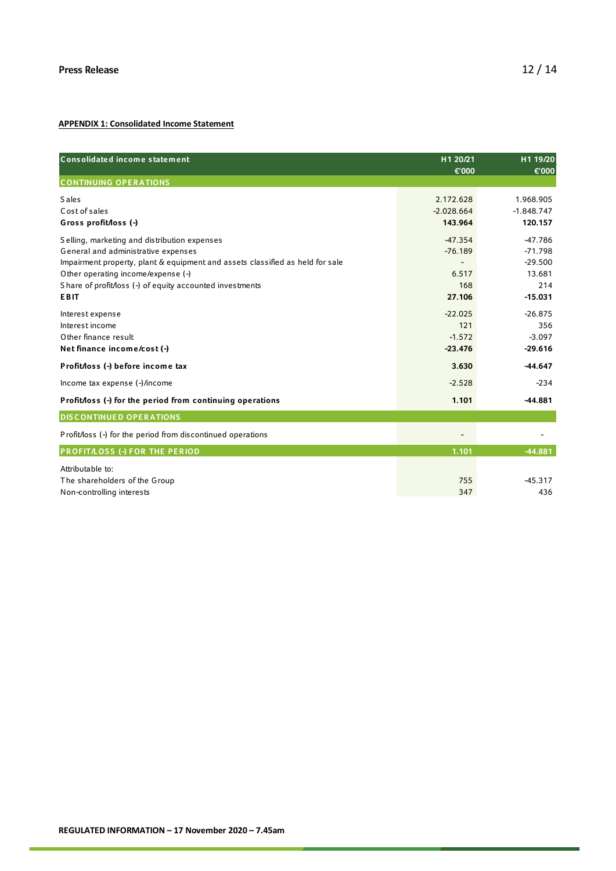### **APPENDIX 1: Consolidated Income Statement**

| Consolidated income statement                                                 | H1 20/21<br>€'000 | H1 19/20<br>€'000 |
|-------------------------------------------------------------------------------|-------------------|-------------------|
| <b>CONTINUING OPERATIONS</b>                                                  |                   |                   |
| <b>Sales</b>                                                                  | 2.172.628         | 1.968.905         |
| Cost of sales                                                                 | $-2.028.664$      | $-1.848.747$      |
| Gross profit/loss (-)                                                         | 143.964           | 120.157           |
| Selling, marketing and distribution expenses                                  | $-47.354$         | $-47.786$         |
| General and administrative expenses                                           | $-76.189$         | $-71.798$         |
| Impairment property, plant & equipment and assets classified as held for sale |                   | $-29.500$         |
| Other operating income/expense (-)                                            | 6.517             | 13.681            |
| Share of profit/loss (-) of equity accounted investments                      | 168               | 214               |
| <b>EBIT</b>                                                                   | 27.106            | $-15.031$         |
| Interest expense                                                              | $-22.025$         | $-26.875$         |
| Interest income                                                               | 121               | 356               |
| Other finance result                                                          | $-1.572$          | $-3.097$          |
| Net finance income/cost (-)                                                   | $-23.476$         | $-29.616$         |
| Profit/loss (-) before income tax                                             | 3.630             | $-44.647$         |
| Income tax expense (-)/income                                                 | $-2.528$          | $-234$            |
| Profit/loss (-) for the period from continuing operations                     | 1.101             | $-44.881$         |
| <b>DISCONTINUED OPERATIONS</b>                                                |                   |                   |
| Profit/loss (-) for the period from discontinued operations                   |                   |                   |
| PROFITAOSS (-) FOR THE PERIOD                                                 | 1.101             | $-44.881$         |
| Attributable to:                                                              |                   |                   |
| The shareholders of the Group                                                 | 755               | $-45.317$         |
| Non-controlling interests                                                     | 347               | 436               |
|                                                                               |                   |                   |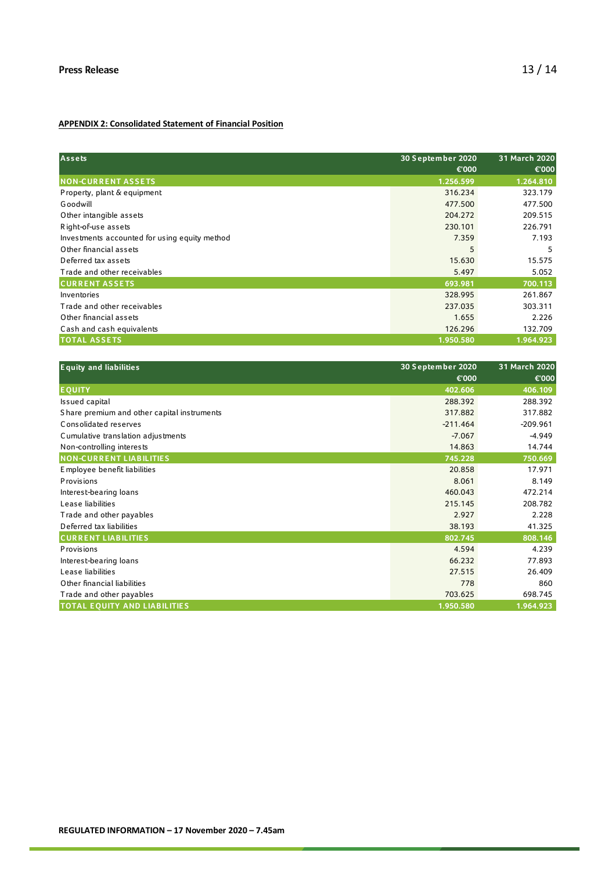### **APPENDIX 2: Consolidated Statement of Financial Position**

| <b>Assets</b>                                 | 30 September 2020 | 31 March 2020 |
|-----------------------------------------------|-------------------|---------------|
|                                               | €'000             | €'000         |
| <b>NON-CURRENT ASSETS</b>                     | 1.256.599         | 1.264.810     |
| Property, plant & equipment                   | 316.234           | 323.179       |
| <b>Goodwill</b>                               | 477.500           | 477.500       |
| Other intangible assets                       | 204.272           | 209.515       |
| Right-of-use assets                           | 230.101           | 226.791       |
| Investments accounted for using equity method | 7.359             | 7.193         |
| Other financial assets                        | 5                 | 5             |
| Deferred tax assets                           | 15.630            | 15.575        |
| Trade and other receivables                   | 5.497             | 5.052         |
| <b>CURRENT ASSETS</b>                         | 693.981           | 700.113       |
| Inventories                                   | 328.995           | 261.867       |
| Trade and other receivables                   | 237.035           | 303.311       |
| Other financial assets                        | 1.655             | 2.226         |
| Cash and cash equivalents                     | 126.296           | 132.709       |
| <b>TOTAL ASSETS</b>                           | 1.950.580         | 1.964.923     |

| <b>Equity and liabilities</b>               | 30 September 2020 | 31 March 2020 |
|---------------------------------------------|-------------------|---------------|
|                                             | €'000             | €'000         |
| <b>EQUITY</b>                               | 402.606           | 406.109       |
| Issued capital                              | 288.392           | 288.392       |
| Share premium and other capital instruments | 317.882           | 317.882       |
| Consolidated reserves                       | $-211.464$        | $-209.961$    |
| Cumulative translation adjustments          | $-7.067$          | $-4.949$      |
| Non-controlling interests                   | 14.863            | 14.744        |
| <b>NON-CURRENT LIABILITIES</b>              | 745.228           | 750.669       |
| E mployee benefit liabilities               | 20.858            | 17.971        |
| <b>Provisions</b>                           | 8.061             | 8.149         |
| Interest-bearing loans                      | 460.043           | 472.214       |
| Lease liabilities                           | 215.145           | 208.782       |
| Trade and other payables                    | 2.927             | 2.228         |
| Deferred tax liabilities                    | 38.193            | 41.325        |
| <b>CURRENT LIABILITIES</b>                  | 802.745           | 808.146       |
| <b>Provisions</b>                           | 4.594             | 4.239         |
| Interest-bearing loans                      | 66.232            | 77.893        |
| Lease liabilities                           | 27.515            | 26.409        |
| Other financial liabilities                 | 778               | 860           |
| Trade and other payables                    | 703.625           | 698.745       |
| <b>TOTAL EQUITY AND LIABILITIES</b>         | 1.950.580         | 1.964.923     |